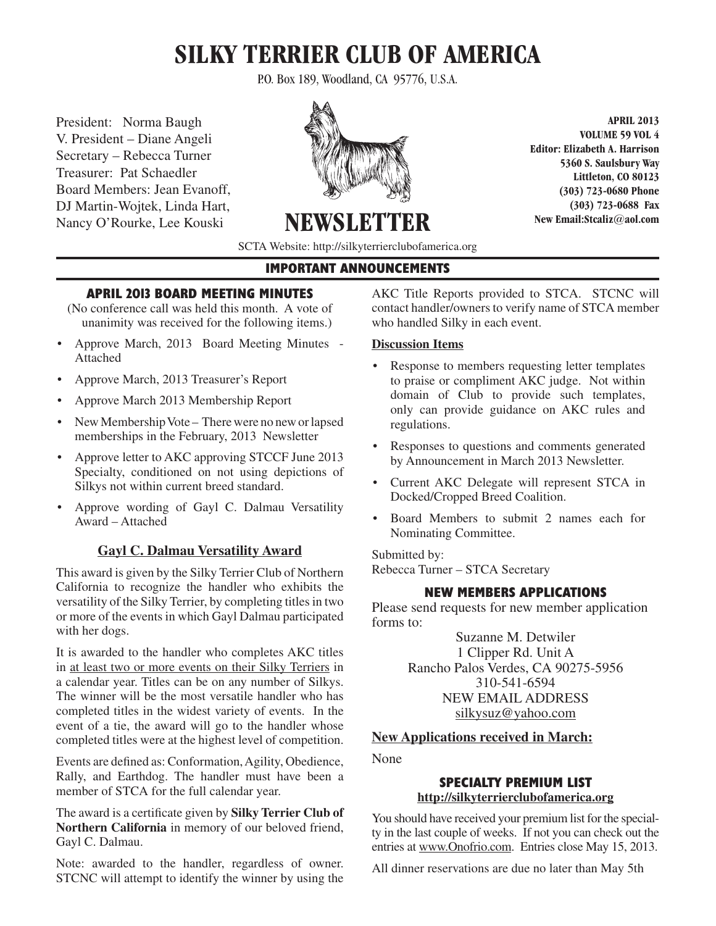# **SILKY TERRIER CLUB OF AMERICA**

P.O. Box 189, Woodland, CA 95776, U.S.A.

President: Norma Baugh V. President – Diane Angeli Secretary – Rebecca Turner Treasurer: Pat Schaedler Board Members: Jean Evanoff, DJ Martin-Wojtek, Linda Hart, Nancy O'Rourke, Lee Kouski



**VOLUME 59 VOL 4 Editor: Elizabeth A. Harrison 5360 S. Saulsbury Way Littleton, CO 80123 (303) 723-0680 Phone (303) 723-0688 Fax New Email:Stcaliz@aol.com** 

**APRIL 2013**

SCTA Website: http://silkyterrierclubofamerica.org

**NEWSLET** 

# **IMPORTANT ANNOUNCEMENTS**

# **APRIL 2013 BOARD MEETING MINUTES**

- (No conference call was held this month. A vote of unanimity was received for the following items.)
- • Approve March, 2013 Board Meeting Minutes Attached
- • Approve March, 2013 Treasurer's Report
- Approve March 2013 Membership Report
- New Membership Vote There were no new or lapsed memberships in the February, 2013 Newsletter
- Approve letter to AKC approving STCCF June 2013 Specialty, conditioned on not using depictions of Silkys not within current breed standard.
- • Approve wording of Gayl C. Dalmau Versatility Award – Attached

# **Gayl C. Dalmau Versatility Award**

This award is given by the Silky Terrier Club of Northern California to recognize the handler who exhibits the versatility of the Silky Terrier, by completing titles in two or more of the events in which Gayl Dalmau participated with her dogs.

It is awarded to the handler who completes AKC titles in at least two or more events on their Silky Terriers in a calendar year. Titles can be on any number of Silkys. The winner will be the most versatile handler who has completed titles in the widest variety of events. In the event of a tie, the award will go to the handler whose completed titles were at the highest level of competition.

Events are defined as: Conformation, Agility, Obedience, Rally, and Earthdog. The handler must have been a member of STCA for the full calendar year.

The award is a certificate given by **Silky Terrier Club of Northern California** in memory of our beloved friend, Gayl C. Dalmau.

Note: awarded to the handler, regardless of owner. STCNC will attempt to identify the winner by using the AKC Title Reports provided to STCA. STCNC will contact handler/owners to verify name of STCA member who handled Silky in each event.

# **Discussion Items**

- Response to members requesting letter templates to praise or compliment AKC judge. Not within domain of Club to provide such templates, only can provide guidance on AKC rules and regulations.
- Responses to questions and comments generated by Announcement in March 2013 Newsletter.
- • Current AKC Delegate will represent STCA in Docked/Cropped Breed Coalition.
- Board Members to submit 2 names each for Nominating Committee.

Submitted by: Rebecca Turner – STCA Secretary

# **NEW MEMBERS APPLICATIONS**

Please send requests for new member application forms to:

> Suzanne M. Detwiler 1 Clipper Rd. Unit A Rancho Palos Verdes, CA 90275-5956 310-541-6594 NEW EMAIL ADDRESS silkysuz@yahoo.com

# **New Applications received in March:**

None

# **SPECIALTY PREMIUM LIST http://silkyterrierclubofamerica.org**

You should have received your premium list for the specialty in the last couple of weeks. If not you can check out the entries at www.Onofrio.com. Entries close May 15, 2013.

All dinner reservations are due no later than May 5th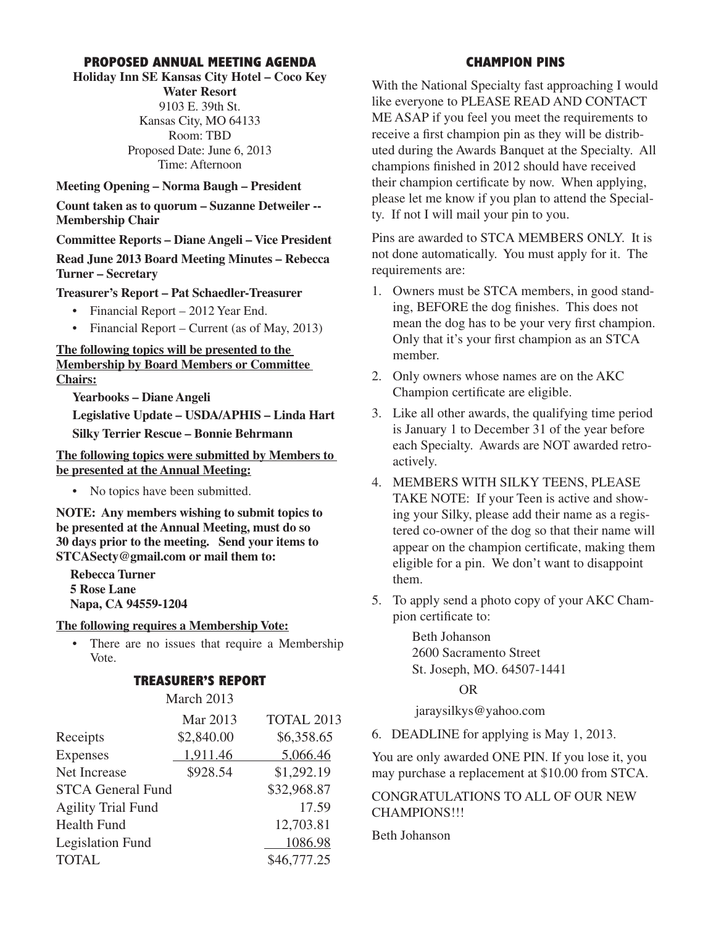# **PROPOSED ANNUAL MEETING AGENDA**

# **Holiday Inn SE Kansas City Hotel – Coco Key**

**Water Resort** 9103 E. 39th St. Kansas City, MO 64133 Room: TBD Proposed Date: June 6, 2013 Time: Afternoon

**Meeting Opening – Norma Baugh – President**

**Count taken as to quorum – Suzanne Detweiler -- Membership Chair**

**Committee Reports – Diane Angeli – Vice President**

**Read June 2013 Board Meeting Minutes – Rebecca Turner – Secretary**

**Treasurer's Report – Pat Schaedler-Treasurer**

- Financial Report 2012 Year End.
- Financial Report Current (as of May, 2013)

# **The following topics will be presented to the Membership by Board Members or Committee Chairs:**

**Yearbooks – Diane Angeli**

**Legislative Update – USDA/APHIS – Linda Hart Silky Terrier Rescue – Bonnie Behrmann**

**The following topics were submitted by Members to be presented at the Annual Meeting:**

• No topics have been submitted.

**NOTE: Any members wishing to submit topics to be presented at the Annual Meeting, must do so 30 days prior to the meeting. Send your items to STCASecty@gmail.com or mail them to:** 

**Rebecca Turner 5 Rose Lane Napa, CA 94559-1204**

## **The following requires a Membership Vote:**

• There are no issues that require a Membership Vote.

## **TREASURER'S REPORT**

March 2013

|                           | Mar 2013   | TOTAL 2013  |
|---------------------------|------------|-------------|
| Receipts                  | \$2,840.00 | \$6,358.65  |
| Expenses                  | 1,911.46   | 5,066.46    |
| Net Increase              | \$928.54   | \$1,292.19  |
| <b>STCA General Fund</b>  |            | \$32,968.87 |
| <b>Agility Trial Fund</b> |            | 17.59       |
| <b>Health Fund</b>        |            | 12,703.81   |
| Legislation Fund          |            | 1086.98     |
| <b>TOTAL</b>              |            | \$46,777.25 |

# **CHAMPION PINS**

With the National Specialty fast approaching I would like everyone to PLEASE READ AND CONTACT ME ASAP if you feel you meet the requirements to receive a first champion pin as they will be distributed during the Awards Banquet at the Specialty. All champions finished in 2012 should have received their champion certificate by now. When applying, please let me know if you plan to attend the Specialty. If not I will mail your pin to you.

Pins are awarded to STCA MEMBERS ONLY. It is not done automatically. You must apply for it. The requirements are:

- 1. Owners must be STCA members, in good standing, BEFORE the dog finishes. This does not mean the dog has to be your very first champion. Only that it's your first champion as an STCA member.
- 2. Only owners whose names are on the AKC Champion certificate are eligible.
- 3. Like all other awards, the qualifying time period is January 1 to December 31 of the year before each Specialty. Awards are NOT awarded retroactively.
- 4. MEMBERS WITH SILKY TEENS, PLEASE TAKE NOTE: If your Teen is active and showing your Silky, please add their name as a registered co-owner of the dog so that their name will appear on the champion certificate, making them eligible for a pin. We don't want to disappoint them.
- 5. To apply send a photo copy of your AKC Champion certificate to:

 Beth Johanson 2600 Sacramento Street St. Joseph, MO. 64507-1441

OR

jaraysilkys@yahoo.com

6. DEADLINE for applying is May 1, 2013.

You are only awarded ONE PIN. If you lose it, you may purchase a replacement at \$10.00 from STCA.

CONGRATULATIONS TO ALL OF OUR NEW CHAMPIONS!!!

Beth Johanson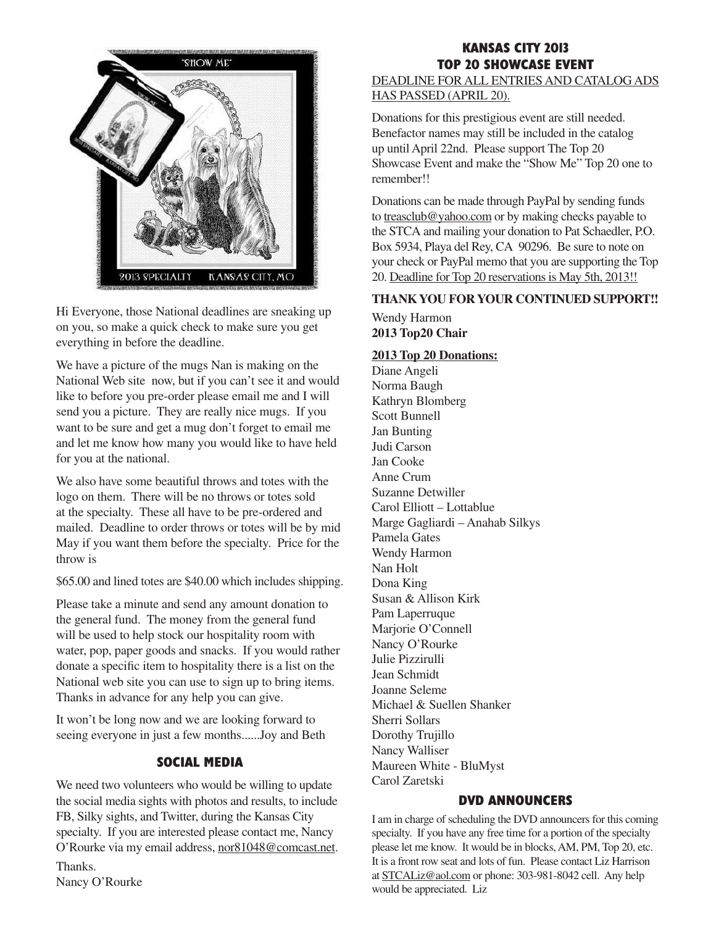

Hi Everyone, those National deadlines are sneaking up on you, so make a quick check to make sure you get on you, so make a quick check to<br>everything in before the deadline. every implement of the deadline.

We have a picture of the mugs Nan is making on the National Web site now, but if you can't see it and would like to before you pre-order please email me and I will send you a picture. They are really nice mugs. If you send you a product. They are ready meetings. If you and let me know how many you would like to have held for you at the national.  $\frac{1}{2}$  and  $\frac{1}{2}$  is the bag  $\frac{1}{2}$  of the map wallet to be suff

We also have some beautiful throws and totes with the logo on them. There will be no throws or totes sold at the specialty. These all have to be pre-ordered and mailed. Deadline to order throws or totes will be by mid May if you want them before the specialty. Price for the throw is

\$65.00 and lined totes are \$40.00 which includes shipping.

Please take a minute and send any amount donation to the general fund. The money from the general fund will be used to help stock our hospitality room with water, pop, paper goods and snacks. If you would rather donate a specific item to hospitality there is a list on the National web site you can use to sign up to bring items. Thanks in advance for any help you can give.

It won't be long now and we are looking forward to seeing everyone in just a few months......Joy and Beth

# **SOCIAL MEDIA**

We need two volunteers who would be willing to update the social media sights with photos and results, to include FB, Silky sights, and Twitter, during the Kansas City specialty. If you are interested please contact me, Nancy O'Rourke via my email address, nor81048@comcast.net.

Thanks. Nancy O'Rourke

# **KANSAS CITY 2013 TOP 20 SHOWCASE EVENT**

DEADLINE FOR ALL ENTRIES AND CATALOG ADS HAS PASSED (APRIL 20).

Donations for this prestigious event are still needed. Benefactor names may still be included in the catalog up until April 22nd. Please support The Top 20 Showcase Event and make the "Show Me" Top 20 one to remember!!

Donations can be made through PayPal by sending funds to treasclub@yahoo.com or by making checks payable to the STCA and mailing your donation to Pat Schaedler, P.O. Box 5934, Playa del Rey, CA 90296. Be sure to note on your check or PayPal memo that you are supporting the Top 20. Deadline for Top 20 reservations is May 5th, 2013!!

## **THANK YOU FOR YOUR CONTINUED SUPPORT!!**

Wendy Harmon **2013 Top20 Chair**

## **2013 Top 20 Donations:**

Diane Angeli Norma Baugh Kathryn Blomberg Scott Bunnell Jan Bunting Judi Carson Jan Cooke Anne Crum Suzanne Detwiller Carol Elliott – Lottablue Marge Gagliardi – Anahab Silkys Pamela Gates Wendy Harmon Nan Holt Dona King Susan & Allison Kirk Pam Laperruque Marjorie O'Connell Nancy O'Rourke Julie Pizzirulli Jean Schmidt Joanne Seleme Michael & Suellen Shanker Sherri Sollars Dorothy Trujillo Nancy Walliser Maureen White - BluMyst Carol Zaretski

# **DVD ANNOUNCERS**

I am in charge of scheduling the DVD announcers for this coming specialty. If you have any free time for a portion of the specialty please let me know. It would be in blocks,AM, PM, Top 20, etc. It is a front row seat and lots of fun. Please contact Liz Harrison at STCALiz@aol.com or phone: 303-981-8042 cell. Any help would be appreciated. Liz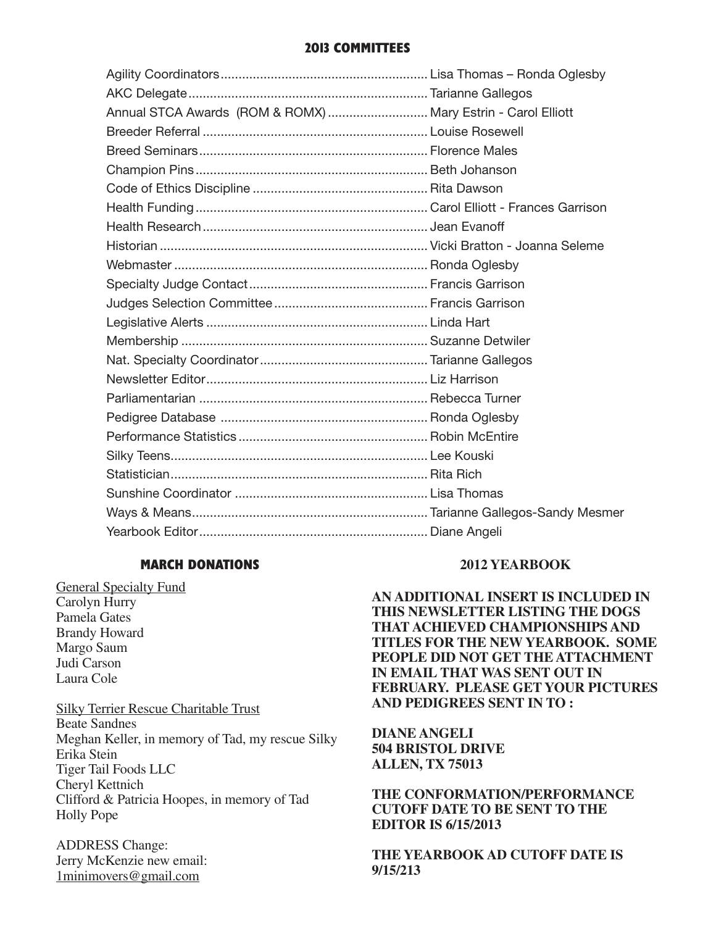# **2013 COMMITTEES**

| Annual STCA Awards (ROM & ROMX)  Mary Estrin - Carol Elliott |  |
|--------------------------------------------------------------|--|
|                                                              |  |
|                                                              |  |
|                                                              |  |
|                                                              |  |
|                                                              |  |
|                                                              |  |
|                                                              |  |
|                                                              |  |
|                                                              |  |
|                                                              |  |
|                                                              |  |
|                                                              |  |
|                                                              |  |
|                                                              |  |
|                                                              |  |
|                                                              |  |
|                                                              |  |
|                                                              |  |
|                                                              |  |
|                                                              |  |
|                                                              |  |
|                                                              |  |

# **MARCH DONATIONS**

General Specialty Fund Carolyn Hurry Pamela Gates Brandy Howard Margo Saum Judi Carson Laura Cole

Silky Terrier Rescue Charitable Trust Beate Sandnes Meghan Keller, in memory of Tad, my rescue Silky Erika Stein Tiger Tail Foods LLC Cheryl Kettnich Clifford & Patricia Hoopes, in memory of Tad Holly Pope

ADDRESS Change: Jerry McKenzie new email: 1minimovers@gmail.com

## **2012 YEARBOOK**

**AN ADDITIONAL INSERT IS INCLUDED IN THIS NEWSLETTER LISTING THE DOGS THAT ACHIEVED CHAMPIONSHIPS AND TITLES FOR THE NEW YEARBOOK. SOME PEOPLE DID NOT GET THE ATTACHMENT IN EMAIL THAT WAS SENT OUT IN FEBRUARY. PLEASE GET YOUR PICTURES AND PEDIGREES SENT IN TO :**

**DIANE ANGELI 504 BRISTOL DRIVE ALLEN, TX 75013**

**THE CONFORMATION/PERFORMANCE CUTOFF DATE TO BE SENT TO THE EDITOR IS 6/15/2013**

**THE YEARBOOK AD CUTOFF DATE IS 9/15/213**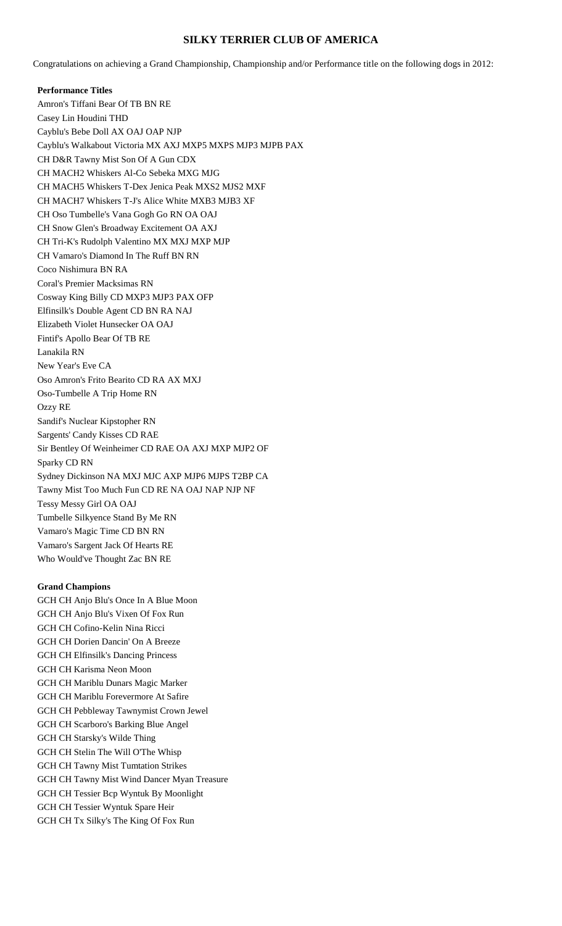# **SILKY TERRIER CLUB OF AMERICA**

Congratulations on achieving a Grand Championship, Championship and/or Performance title on the following dogs in 2012:

**Performance Titles** Amron's Tiffani Bear Of TB BN RE Casey Lin Houdini THD Cayblu's Bebe Doll AX OAJ OAP NJP Cayblu's Walkabout Victoria MX AXJ MXP5 MXPS MJP3 MJPB PAX CH D&R Tawny Mist Son Of A Gun CDX CH MACH2 Whiskers Al-Co Sebeka MXG MJG CH MACH5 Whiskers T-Dex Jenica Peak MXS2 MJS2 MXF CH MACH7 Whiskers T-J's Alice White MXB3 MJB3 XF CH Oso Tumbelle's Vana Gogh Go RN OA OAJ CH Snow Glen's Broadway Excitement OA AXJ CH Tri-K's Rudolph Valentino MX MXJ MXP MJP CH Vamaro's Diamond In The Ruff BN RN Coco Nishimura BN RA Coral's Premier Macksimas RN Cosway King Billy CD MXP3 MJP3 PAX OFP Elfinsilk's Double Agent CD BN RA NAJ Elizabeth Violet Hunsecker OA OAJ Fintif's Apollo Bear Of TB RE Lanakila RN New Year's Eve CA Oso Amron's Frito Bearito CD RA AX MXJ Oso-Tumbelle A Trip Home RN Ozzy RE Sandif's Nuclear Kipstopher RN Sargents' Candy Kisses CD RAE Sir Bentley Of Weinheimer CD RAE OA AXJ MXP MJP2 OF Sparky CD RN Sydney Dickinson NA MXJ MJC AXP MJP6 MJPS T2BP CA Tawny Mist Too Much Fun CD RE NA OAJ NAP NJP NF Tessy Messy Girl OA OAJ Tumbelle Silkyence Stand By Me RN Vamaro's Magic Time CD BN RN Vamaro's Sargent Jack Of Hearts RE Who Would've Thought Zac BN RE

#### **Grand Champions**

GCH CH Anjo Blu's Once In A Blue Moon GCH CH Anjo Blu's Vixen Of Fox Run GCH CH Cofino-Kelin Nina Ricci GCH CH Dorien Dancin' On A Breeze GCH CH Elfinsilk's Dancing Princess GCH CH Karisma Neon Moon GCH CH Mariblu Dunars Magic Marker GCH CH Mariblu Forevermore At Safire GCH CH Pebbleway Tawnymist Crown Jewel GCH CH Scarboro's Barking Blue Angel GCH CH Starsky's Wilde Thing GCH CH Stelin The Will O'The Whisp GCH CH Tawny Mist Tumtation Strikes GCH CH Tawny Mist Wind Dancer Myan Treasure GCH CH Tessier Bcp Wyntuk By Moonlight GCH CH Tessier Wyntuk Spare Heir GCH CH Tx Silky's The King Of Fox Run